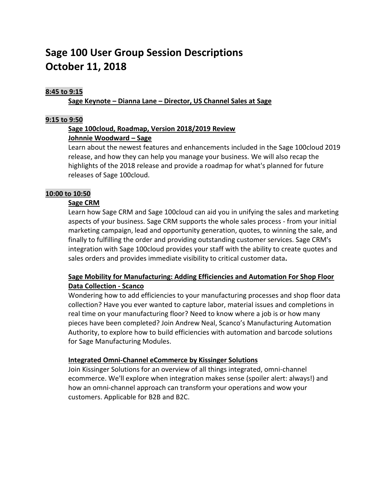# **Sage 100 User Group Session Descriptions October 11, 2018**

## **8:45 to 9:15**

**Sage Keynote – Dianna Lane – Director, US Channel Sales at Sage**

#### **9:15 to 9:50**

# **Sage 100cloud, Roadmap, Version 2018/2019 Review Johnnie Woodward – Sage**

Learn about the newest features and enhancements included in the Sage 100cloud 2019 release, and how they can help you manage your business. We will also recap the highlights of the 2018 release and provide a roadmap for what's planned for future releases of Sage 100cloud.

#### **10:00 to 10:50**

#### **Sage CRM**

Learn how Sage CRM and Sage 100cloud can aid you in unifying the sales and marketing aspects of your business. Sage CRM supports the whole sales process - from your initial marketing campaign, lead and opportunity generation, quotes, to winning the sale, and finally to fulfilling the order and providing outstanding customer services. Sage CRM's integration with Sage 100cloud provides your staff with the ability to create quotes and sales orders and provides immediate visibility to critical customer data**.**

## **Sage Mobility for Manufacturing: Adding Efficiencies and Automation For Shop Floor Data Collection - Scanco**

Wondering how to add efficiencies to your manufacturing processes and shop floor data collection? Have you ever wanted to capture labor, material issues and completions in real time on your manufacturing floor? Need to know where a job is or how many pieces have been completed? Join Andrew Neal, Scanco's Manufacturing Automation Authority, to explore how to build efficiencies with automation and barcode solutions for Sage Manufacturing Modules.

#### **Integrated Omni-Channel eCommerce by Kissinger Solutions**

Join Kissinger Solutions for an overview of all things integrated, omni-channel ecommerce. We'll explore when integration makes sense (spoiler alert: always!) and how an omni-channel approach can transform your operations and wow your customers. Applicable for B2B and B2C.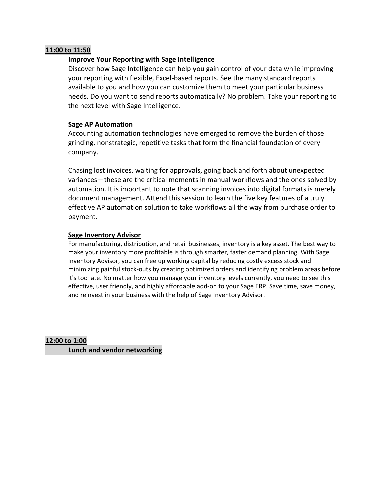#### **11:00 to 11:50**

#### **Improve Your Reporting with Sage Intelligence**

Discover how Sage Intelligence can help you gain control of your data while improving your reporting with flexible, Excel-based reports. See the many standard reports available to you and how you can customize them to meet your particular business needs. Do you want to send reports automatically? No problem. Take your reporting to the next level with Sage Intelligence.

#### **Sage AP Automation**

Accounting automation technologies have emerged to remove the burden of those grinding, nonstrategic, repetitive tasks that form the financial foundation of every company.

Chasing lost invoices, waiting for approvals, going back and forth about unexpected variances—these are the critical moments in manual workflows and the ones solved by automation. It is important to note that scanning invoices into digital formats is merely document management. Attend this session to learn the five key features of a truly effective AP automation solution to take workflows all the way from purchase order to payment.

#### **Sage Inventory Advisor**

For manufacturing, distribution, and retail businesses, inventory is a key asset. The best way to make your inventory more profitable is through smarter, faster demand planning. With Sage Inventory Advisor, you can free up working capital by reducing costly excess stock and minimizing painful stock-outs by creating optimized orders and identifying problem areas before it's too late. No matter how you manage your inventory levels currently, you need to see this effective, user friendly, and highly affordable add-on to your Sage ERP. Save time, save money, and reinvest in your business with the help of Sage Inventory Advisor.

**12:00 to 1:00**

**Lunch and vendor networking**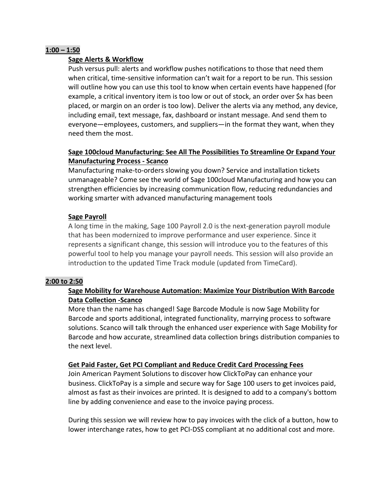## **1:00 – 1:50**

## **Sage Alerts & Workflow**

Push versus pull: alerts and workflow pushes notifications to those that need them when critical, time-sensitive information can't wait for a report to be run. This session will outline how you can use this tool to know when certain events have happened (for example, a critical inventory item is too low or out of stock, an order over \$x has been placed, or margin on an order is too low). Deliver the alerts via any method, any device, including email, text message, fax, dashboard or instant message. And send them to everyone—employees, customers, and suppliers—in the format they want, when they need them the most.

## **Sage 100cloud Manufacturing: See All The Possibilities To Streamline Or Expand Your Manufacturing Process - Scanco**

Manufacturing make-to-orders slowing you down? Service and installation tickets unmanageable? Come see the world of Sage 100cloud Manufacturing and how you can strengthen efficiencies by increasing communication flow, reducing redundancies and working smarter with advanced manufacturing management tools

#### **Sage Payroll**

A long time in the making, Sage 100 Payroll 2.0 is the next-generation payroll module that has been modernized to improve performance and user experience. Since it represents a significant change, this session will introduce you to the features of this powerful tool to help you manage your payroll needs. This session will also provide an introduction to the updated Time Track module (updated from TimeCard).

#### **2:00 to 2:50**

## **Sage Mobility for Warehouse Automation: Maximize Your Distribution With Barcode Data Collection -Scanco**

More than the name has changed! Sage Barcode Module is now Sage Mobility for Barcode and sports additional, integrated functionality, marrying process to software solutions. Scanco will talk through the enhanced user experience with Sage Mobility for Barcode and how accurate, streamlined data collection brings distribution companies to the next level.

#### **Get Paid Faster, Get PCI Compliant and Reduce Credit Card Processing Fees**

Join American Payment Solutions to discover how ClickToPay can enhance your business. ClickToPay is a simple and secure way for Sage 100 users to get invoices paid, almost as fast as their invoices are printed. It is designed to add to a company's bottom line by adding convenience and ease to the invoice paying process.

During this session we will review how to pay invoices with the click of a button, how to lower interchange rates, how to get PCI-DSS compliant at no additional cost and more.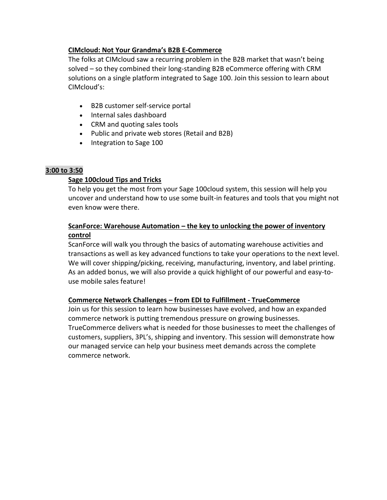## **CIMcloud: Not Your Grandma's B2B E-Commerce**

The folks at CIMcloud saw a recurring problem in the B2B market that wasn't being solved – so they combined their long-standing B2B eCommerce offering with CRM solutions on a single platform integrated to Sage 100. Join this session to learn about CIMcloud's:

- B2B customer self-service portal
- Internal sales dashboard
- CRM and quoting sales tools
- Public and private web stores (Retail and B2B)
- Integration to Sage 100

## **3:00 to 3:50**

# **Sage 100cloud Tips and Tricks**

To help you get the most from your Sage 100cloud system, this session will help you uncover and understand how to use some built-in features and tools that you might not even know were there.

## **ScanForce: Warehouse Automation – the key to unlocking the power of inventory control**

ScanForce will walk you through the basics of automating warehouse activities and transactions as well as key advanced functions to take your operations to the next level. We will cover shipping/picking, receiving, manufacturing, inventory, and label printing. As an added bonus, we will also provide a quick highlight of our powerful and easy-touse mobile sales feature!

## **Commerce Network Challenges – from EDI to Fulfillment - TrueCommerce**

Join us for this session to learn how businesses have evolved, and how an expanded commerce network is putting tremendous pressure on growing businesses. TrueCommerce delivers what is needed for those businesses to meet the challenges of customers, suppliers, 3PL's, shipping and inventory. This session will demonstrate how our managed service can help your business meet demands across the complete commerce network.